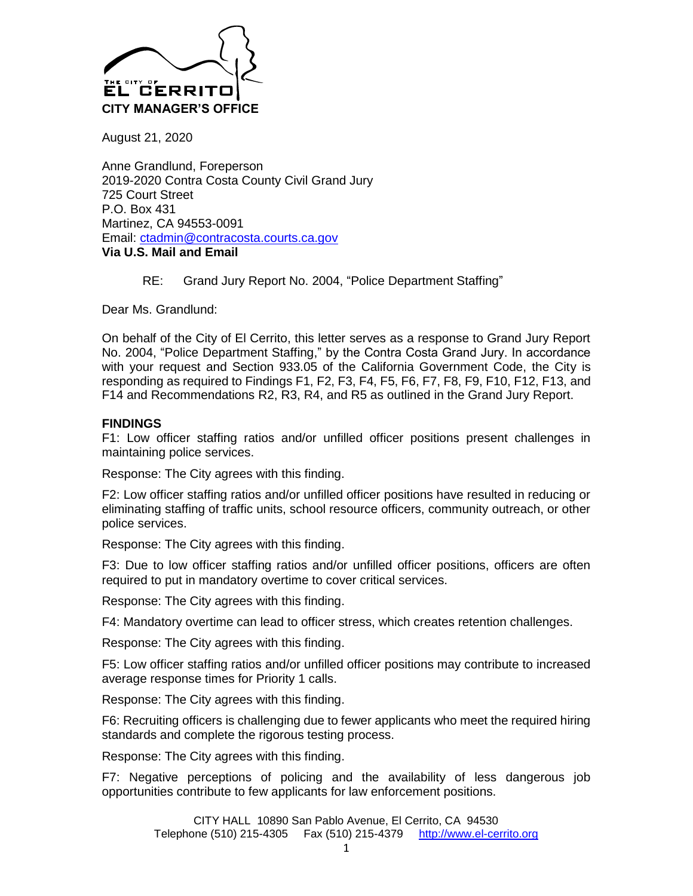

August 21, 2020

Anne Grandlund, Foreperson 2019-2020 Contra Costa County Civil Grand Jury 725 Court Street P.O. Box 431 Martinez, CA 94553-0091 Email: [ctadmin@contracosta.courts.ca.gov](mailto:ctadmin@contracosta.courts.ca.gov) **Via U.S. Mail and Email**

RE: Grand Jury Report No. 2004, "Police Department Staffing"

Dear Ms. Grandlund:

On behalf of the City of El Cerrito, this letter serves as a response to Grand Jury Report No. 2004, "Police Department Staffing," by the Contra Costa Grand Jury. In accordance with your request and Section 933.05 of the California Government Code, the City is responding as required to Findings F1, F2, F3, F4, F5, F6, F7, F8, F9, F10, F12, F13, and F14 and Recommendations R2, R3, R4, and R5 as outlined in the Grand Jury Report.

## **FINDINGS**

F1: Low officer staffing ratios and/or unfilled officer positions present challenges in maintaining police services.

Response: The City agrees with this finding.

F2: Low officer staffing ratios and/or unfilled officer positions have resulted in reducing or eliminating staffing of traffic units, school resource officers, community outreach, or other police services.

Response: The City agrees with this finding.

F3: Due to low officer staffing ratios and/or unfilled officer positions, officers are often required to put in mandatory overtime to cover critical services.

Response: The City agrees with this finding.

F4: Mandatory overtime can lead to officer stress, which creates retention challenges.

Response: The City agrees with this finding.

F5: Low officer staffing ratios and/or unfilled officer positions may contribute to increased average response times for Priority 1 calls.

Response: The City agrees with this finding.

F6: Recruiting officers is challenging due to fewer applicants who meet the required hiring standards and complete the rigorous testing process.

Response: The City agrees with this finding.

F7: Negative perceptions of policing and the availability of less dangerous job opportunities contribute to few applicants for law enforcement positions.

> CITY HALL 10890 San Pablo Avenue, El Cerrito, CA 94530 Telephone (510) 215-4305 Fax (510) 215-4379 [http://www.el-cerrito.org](http://www.el-cerrito.org/)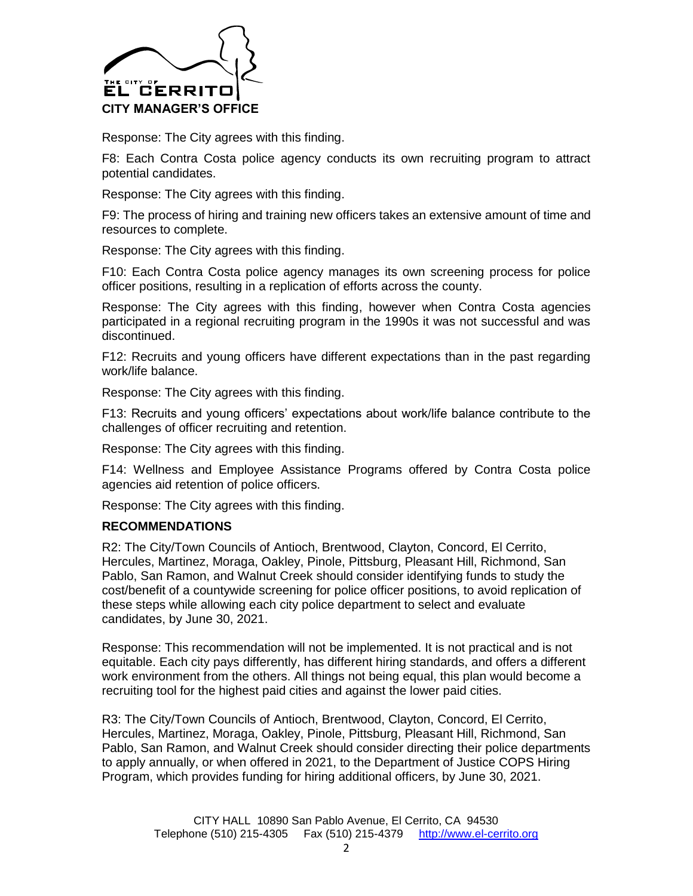

Response: The City agrees with this finding.

F8: Each Contra Costa police agency conducts its own recruiting program to attract potential candidates.

Response: The City agrees with this finding.

F9: The process of hiring and training new officers takes an extensive amount of time and resources to complete.

Response: The City agrees with this finding.

F10: Each Contra Costa police agency manages its own screening process for police officer positions, resulting in a replication of efforts across the county.

Response: The City agrees with this finding, however when Contra Costa agencies participated in a regional recruiting program in the 1990s it was not successful and was discontinued.

F12: Recruits and young officers have different expectations than in the past regarding work/life balance.

Response: The City agrees with this finding.

F13: Recruits and young officers' expectations about work/life balance contribute to the challenges of officer recruiting and retention.

Response: The City agrees with this finding.

F14: Wellness and Employee Assistance Programs offered by Contra Costa police agencies aid retention of police officers.

Response: The City agrees with this finding.

## **RECOMMENDATIONS**

R2: The City/Town Councils of Antioch, Brentwood, Clayton, Concord, El Cerrito, Hercules, Martinez, Moraga, Oakley, Pinole, Pittsburg, Pleasant Hill, Richmond, San Pablo, San Ramon, and Walnut Creek should consider identifying funds to study the cost/benefit of a countywide screening for police officer positions, to avoid replication of these steps while allowing each city police department to select and evaluate candidates, by June 30, 2021.

Response: This recommendation will not be implemented. It is not practical and is not equitable. Each city pays differently, has different hiring standards, and offers a different work environment from the others. All things not being equal, this plan would become a recruiting tool for the highest paid cities and against the lower paid cities.

R3: The City/Town Councils of Antioch, Brentwood, Clayton, Concord, El Cerrito, Hercules, Martinez, Moraga, Oakley, Pinole, Pittsburg, Pleasant Hill, Richmond, San Pablo, San Ramon, and Walnut Creek should consider directing their police departments to apply annually, or when offered in 2021, to the Department of Justice COPS Hiring Program, which provides funding for hiring additional officers, by June 30, 2021.